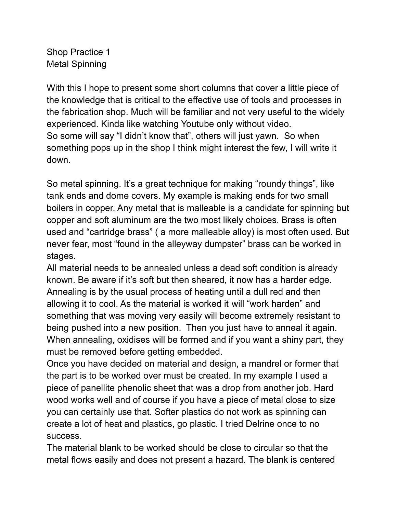Shop Practice 1 Metal Spinning

With this I hope to present some short columns that cover a little piece of the knowledge that is critical to the effective use of tools and processes in the fabrication shop. Much will be familiar and not very useful to the widely experienced. Kinda like watching Youtube only without video. So some will say "I didn't know that", others will just yawn. So when something pops up in the shop I think might interest the few, I will write it down.

So metal spinning. It's a great technique for making "roundy things", like tank ends and dome covers. My example is making ends for two small boilers in copper. Any metal that is malleable is a candidate for spinning but copper and soft aluminum are the two most likely choices. Brass is often used and "cartridge brass" ( a more malleable alloy) is most often used. But never fear, most "found in the alleyway dumpster" brass can be worked in stages.

All material needs to be annealed unless a dead soft condition is already known. Be aware if it's soft but then sheared, it now has a harder edge. Annealing is by the usual process of heating until a dull red and then allowing it to cool. As the material is worked it will "work harden" and something that was moving very easily will become extremely resistant to being pushed into a new position. Then you just have to anneal it again. When annealing, oxidises will be formed and if you want a shiny part, they must be removed before getting embedded.

Once you have decided on material and design, a mandrel or former that the part is to be worked over must be created. In my example I used a piece of panellite phenolic sheet that was a drop from another job. Hard wood works well and of course if you have a piece of metal close to size you can certainly use that. Softer plastics do not work as spinning can create a lot of heat and plastics, go plastic. I tried Delrine once to no success.

The material blank to be worked should be close to circular so that the metal flows easily and does not present a hazard. The blank is centered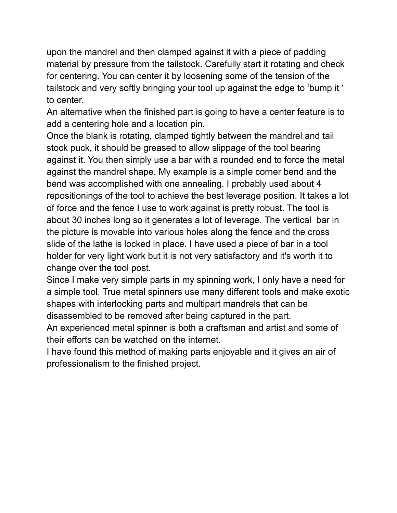upon the mandrel and then clamped against it with a piece of padding material by pressure from the tailstock. Carefully start it rotating and check for centering. You can center it by loosening some of the tension of the tailstock and very softly bringing your tool up against the edge to 'bump it ' to center.

An alternative when the finished part is going to have a center feature is to add a centering hole and a location pin.

Once the blank is rotating, clamped tightly between the mandrel and tail stock puck, it should be greased to allow slippage of the tool bearing against it. You then simply use a bar with a rounded end to force the metal against the mandrel shape. My example is a simple corner bend and the bend was accomplished with one annealing. I probably used about 4 repositionings of the tool to achieve the best leverage position. It takes a lot of force and the fence I use to work against is pretty robust. The tool is about 30 inches long so it generates a lot of leverage. The vertical bar in the picture is movable into various holes along the fence and the cross slide of the lathe is locked in place. I have used a piece of bar in a tool holder for very light work but it is not very satisfactory and it's worth it to change over the tool post.

Since I make very simple parts in my spinning work, I only have a need for a simple tool. True metal spinners use many different tools and make exotic shapes with interlocking parts and multipart mandrels that can be disassembled to be removed after being captured in the part.

An experienced metal spinner is both a craftsman and artist and some of their efforts can be watched on the internet.

I have found this method of making parts enjoyable and it gives an air of professionalism to the finished project.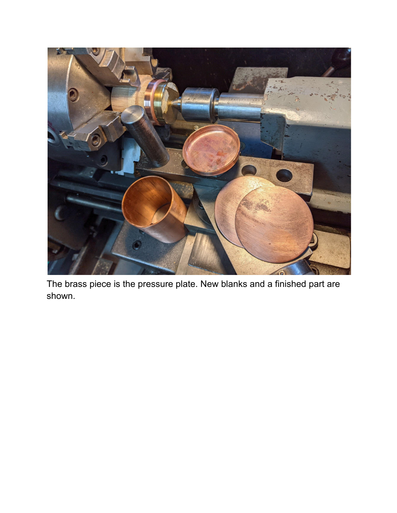

The brass piece is the pressure plate. New blanks and a finished part are s h o w n.